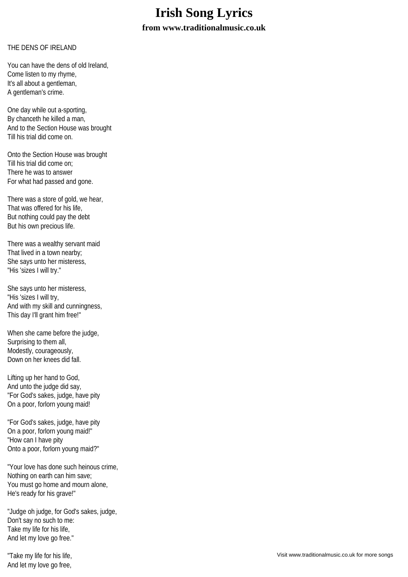## **Irish Song Lyrics**

**from www.traditionalmusic.co.uk**

## THE DENS OF IRELAND

You can have the dens of old Ireland, Come listen to my rhyme, It's all about a gentleman, A gentleman's crime.

One day while out a-sporting, By chanceth he killed a man, And to the Section House was brought Till his trial did come on.

Onto the Section House was brought Till his trial did come on; There he was to answer For what had passed and gone.

There was a store of gold, we hear, That was offered for his life, But nothing could pay the debt But his own precious life.

There was a wealthy servant maid That lived in a town nearby; She says unto her misteress, "His 'sizes I will try."

She says unto her misteress, "His 'sizes I will try, And with my skill and cunningness, This day I'll grant him free!"

When she came before the judge, Surprising to them all, Modestly, courageously, Down on her knees did fall.

Lifting up her hand to God, And unto the judge did say, "For God's sakes, judge, have pity On a poor, forlorn young maid!

"For God's sakes, judge, have pity On a poor, forlorn young maid!" "How can I have pity Onto a poor, forlorn young maid?"

"Your love has done such heinous crime, Nothing on earth can him save; You must go home and mourn alone, He's ready for his grave!"

"Judge oh judge, for God's sakes, judge, Don't say no such to me: Take my life for his life, And let my love go free."

"Take my life for his life, And let my love go free,